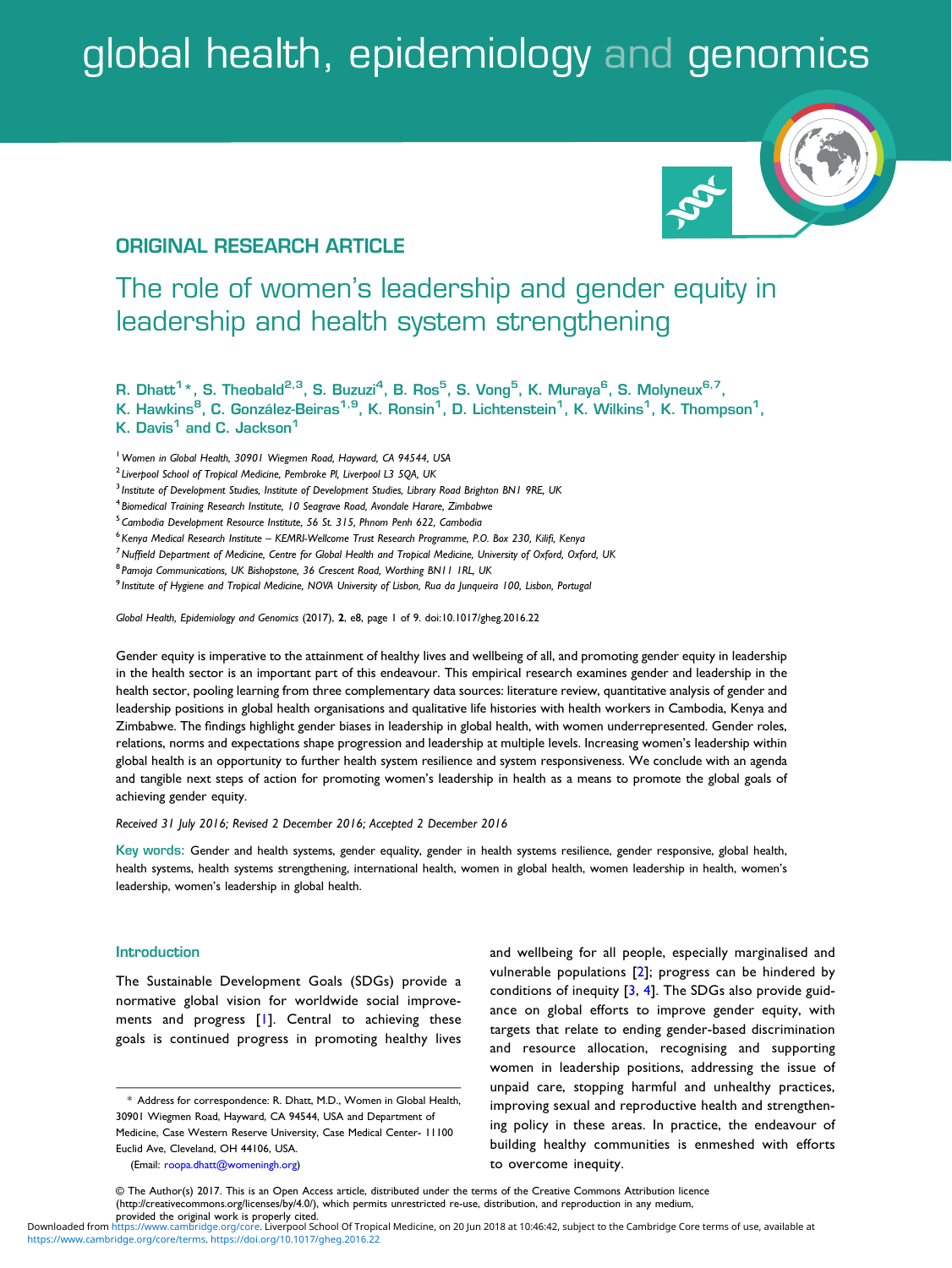# global health, epidemiology and genomics



# ORIGINAL RESEARCH ARTICLE

# The role of women's leadership and gender equity in leadership and health system strengthening

R. Dhatt<sup>1</sup>\*, S. Theobald<sup>2,3</sup>, S. Buzuzi<sup>4</sup>, B. Ros<sup>5</sup>, S. Vong<sup>5</sup>, K. Murava<sup>6</sup>, S. Molyneux<sup>6,7</sup>. K. Hawkins<sup>8</sup>, C. González-Beiras<sup>1,9</sup>, K. Ronsin<sup>1</sup>, D. Lichtenstein<sup>1</sup>, K. Wilkins<sup>1</sup>, K. Thompson<sup>1</sup>, K. Davis $<sup>1</sup>$  and C. Jackson $<sup>1</sup>$ </sup></sup>

<sup>1</sup> Women in Global Health, 30901 Wiegmen Road, Hayward, CA 94544, USA

<sup>2</sup> Liverpool School of Tropical Medicine, Pembroke Pl, Liverpool L3 5QA, UK

<sup>4</sup> Biomedical Training Research Institute, 10 Seagrave Road, Avondale Harare, Zimbabwe

<sup>6</sup>Kenya Medical Research Institute – KEMRI-Wellcome Trust Research Programme, P.O. Box 230, Kilifi, Kenya

<sup>7</sup> Nuffield Department of Medicine, Centre for Global Health and Tropical Medicine, University of Oxford, Oxford, UK

8 Pamoja Communications, UK Bishopstone, 36 Crescent Road, Worthing BN11 IRL, UK

<sup>9</sup> Institute of Hygiene and Tropical Medicine, NOVA University of Lisbon, Rua da Junqueira 100, Lisbon, Portugal

Global Health, Epidemiology and Genomics (2017), 2, e8, page 1 of 9. doi:10.1017/gheg.2016.22

Gender equity is imperative to the attainment of healthy lives and wellbeing of all, and promoting gender equity in leadership in the health sector is an important part of this endeavour. This empirical research examines gender and leadership in the health sector, pooling learning from three complementary data sources: literature review, quantitative analysis of gender and leadership positions in global health organisations and qualitative life histories with health workers in Cambodia, Kenya and Zimbabwe. The findings highlight gender biases in leadership in global health, with women underrepresented. Gender roles, relations, norms and expectations shape progression and leadership at multiple levels. Increasing women's leadership within global health is an opportunity to further health system resilience and system responsiveness. We conclude with an agenda and tangible next steps of action for promoting women's leadership in health as a means to promote the global goals of achieving gender equity.

Received 31 July 2016; Revised 2 December 2016; Accepted 2 December 2016

Key words: Gender and health systems, gender equality, gender in health systems resilience, gender responsive, global health, health systems, health systems strengthening, international health, women in global health, women leadership in health, women's leadership, women's leadership in global health.

#### Introduction

The Sustainable Development Goals (SDGs) provide a normative global vision for worldwide social improvements and progress [\[1\]](#page-7-0). Central to achieving these goals is continued progress in promoting healthy lives and wellbeing for all people, especially marginalised and vulnerable populations [[2](#page-7-0)]; progress can be hindered by conditions of inequity  $[3, 4]$  $[3, 4]$  $[3, 4]$  $[3, 4]$ . The SDGs also provide guidance on global efforts to improve gender equity, with targets that relate to ending gender-based discrimination and resource allocation, recognising and supporting women in leadership positions, addressing the issue of unpaid care, stopping harmful and unhealthy practices, improving sexual and reproductive health and strengthening policy in these areas. In practice, the endeavour of building healthy communities is enmeshed with efforts to overcome inequity.

© The Author(s) 2017. This is an Open Access article, distributed under the terms of the Creative Commons Attribution licence (http://creativecommons.org/licenses/by/4.0/), which permits unrestricted re-use, distribution, and reproduction in any medium,

provided the original work is properly cited.<br>Downloaded from [https://www.cambridge.org/core.](https://www.cambridge.org/core) Liverpool School Of Tropical Medicine, on 20 Jun 2018 at 10:46:42, subject to the Cambridge Core terms of use, available at [https://www.cambridge.org/core/terms.](https://www.cambridge.org/core/terms) <https://doi.org/10.1017/gheg.2016.22>

<sup>&</sup>lt;sup>3</sup> Institute of Development Studies, Institute of Development Studies, Library Road Brighton BN1 9RE, UK

<sup>&</sup>lt;sup>5</sup> Cambodia Development Resource Institute, 56 St. 315, Phnom Penh 622, Cambodia

<sup>\*</sup> Address for correspondence: R. Dhatt, M.D., Women in Global Health, 30901 Wiegmen Road, Hayward, CA 94544, USA and Department of Medicine, Case Western Reserve University, Case Medical Center- 11100 Euclid Ave, Cleveland, OH 44106, USA.

<sup>(</sup>Email: [roopa.dhatt@womeningh.org\)](mailto:roopa.dhatt@womeningh.org)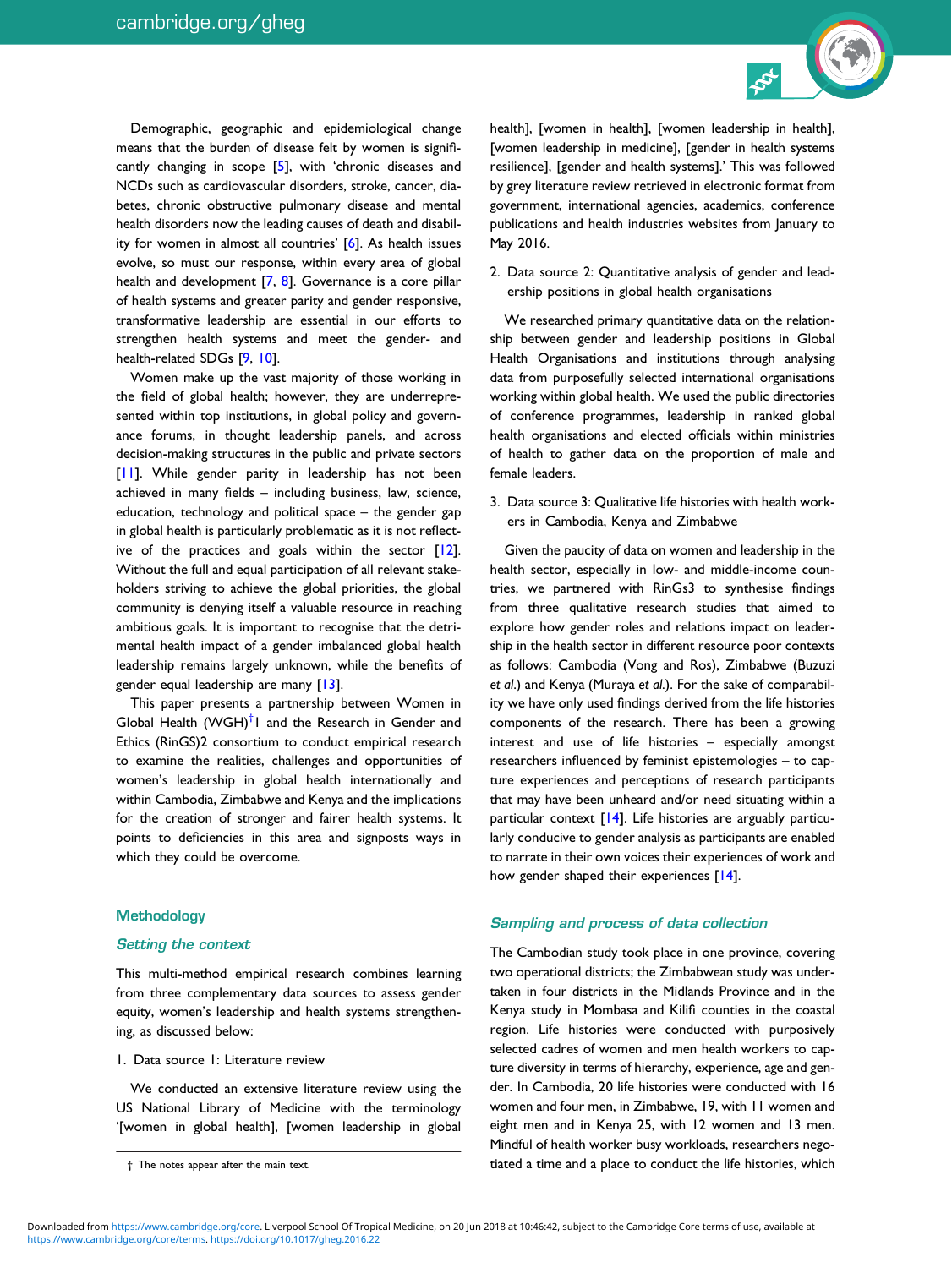Demographic, geographic and epidemiological change means that the burden of disease felt by women is signifi-cantly changing in scope [[5](#page-7-0)], with 'chronic diseases and NCDs such as cardiovascular disorders, stroke, cancer, diabetes, chronic obstructive pulmonary disease and mental health disorders now the leading causes of death and disability for women in almost all countries' [[6](#page-7-0)]. As health issues evolve, so must our response, within every area of global health and development  $[7, 8]$  $[7, 8]$  $[7, 8]$  $[7, 8]$ . Governance is a core pillar of health systems and greater parity and gender responsive, transformative leadership are essential in our efforts to strengthen health systems and meet the gender- and health-related SDGs [\[9](#page-7-0), [10](#page-7-0)].

Women make up the vast majority of those working in the field of global health; however, they are underrepresented within top institutions, in global policy and governance forums, in thought leadership panels, and across decision-making structures in the public and private sectors [[11\]](#page-7-0). While gender parity in leadership has not been achieved in many fields – including business, law, science, education, technology and political space – the gender gap in global health is particularly problematic as it is not reflect-ive of the practices and goals within the sector [[12\]](#page-7-0). Without the full and equal participation of all relevant stakeholders striving to achieve the global priorities, the global community is denying itself a valuable resource in reaching ambitious goals. It is important to recognise that the detrimental health impact of a gender imbalanced global health leadership remains largely unknown, while the benefits of gender equal leadership are many [\[13](#page-7-0)].

This paper presents a partnership between Women in Global Health (WGH)<sup>†</sup>I and the Research in Gender and Ethics (RinGS)2 consortium to conduct empirical research to examine the realities, challenges and opportunities of women's leadership in global health internationally and within Cambodia, Zimbabwe and Kenya and the implications for the creation of stronger and fairer health systems. It points to deficiencies in this area and signposts ways in which they could be overcome.

# **Methodology**

# Setting the context

This multi-method empirical research combines learning from three complementary data sources to assess gender equity, women's leadership and health systems strengthening, as discussed below:

# 1. Data source 1: Literature review

We conducted an extensive literature review using the US National Library of Medicine with the terminology '[women in global health], [women leadership in global



health], [women in health], [women leadership in health], [women leadership in medicine], [gender in health systems resilience], [gender and health systems].' This was followed by grey literature review retrieved in electronic format from government, international agencies, academics, conference publications and health industries websites from January to May 2016.

2. Data source 2: Quantitative analysis of gender and leadership positions in global health organisations

We researched primary quantitative data on the relationship between gender and leadership positions in Global Health Organisations and institutions through analysing data from purposefully selected international organisations working within global health. We used the public directories of conference programmes, leadership in ranked global health organisations and elected officials within ministries of health to gather data on the proportion of male and female leaders.

3. Data source 3: Qualitative life histories with health workers in Cambodia, Kenya and Zimbabwe

Given the paucity of data on women and leadership in the health sector, especially in low- and middle-income countries, we partnered with RinGs3 to synthesise findings from three qualitative research studies that aimed to explore how gender roles and relations impact on leadership in the health sector in different resource poor contexts as follows: Cambodia (Vong and Ros), Zimbabwe (Buzuzi et al.) and Kenya (Muraya et al.). For the sake of comparability we have only used findings derived from the life histories components of the research. There has been a growing interest and use of life histories – especially amongst researchers influenced by feminist epistemologies – to capture experiences and perceptions of research participants that may have been unheard and/or need situating within a particular context [[14\]](#page-7-0). Life histories are arguably particularly conducive to gender analysis as participants are enabled to narrate in their own voices their experiences of work and how gender shaped their experiences [[14\]](#page-7-0).

# Sampling and process of data collection

The Cambodian study took place in one province, covering two operational districts; the Zimbabwean study was undertaken in four districts in the Midlands Province and in the Kenya study in Mombasa and Kilifi counties in the coastal region. Life histories were conducted with purposively selected cadres of women and men health workers to capture diversity in terms of hierarchy, experience, age and gender. In Cambodia, 20 life histories were conducted with 16 women and four men, in Zimbabwe, 19, with 11 women and eight men and in Kenya 25, with 12 women and 13 men. Mindful of health worker busy workloads, researchers nego- † The notes appear after the main text. tiated a time and a place to conduct the life histories, which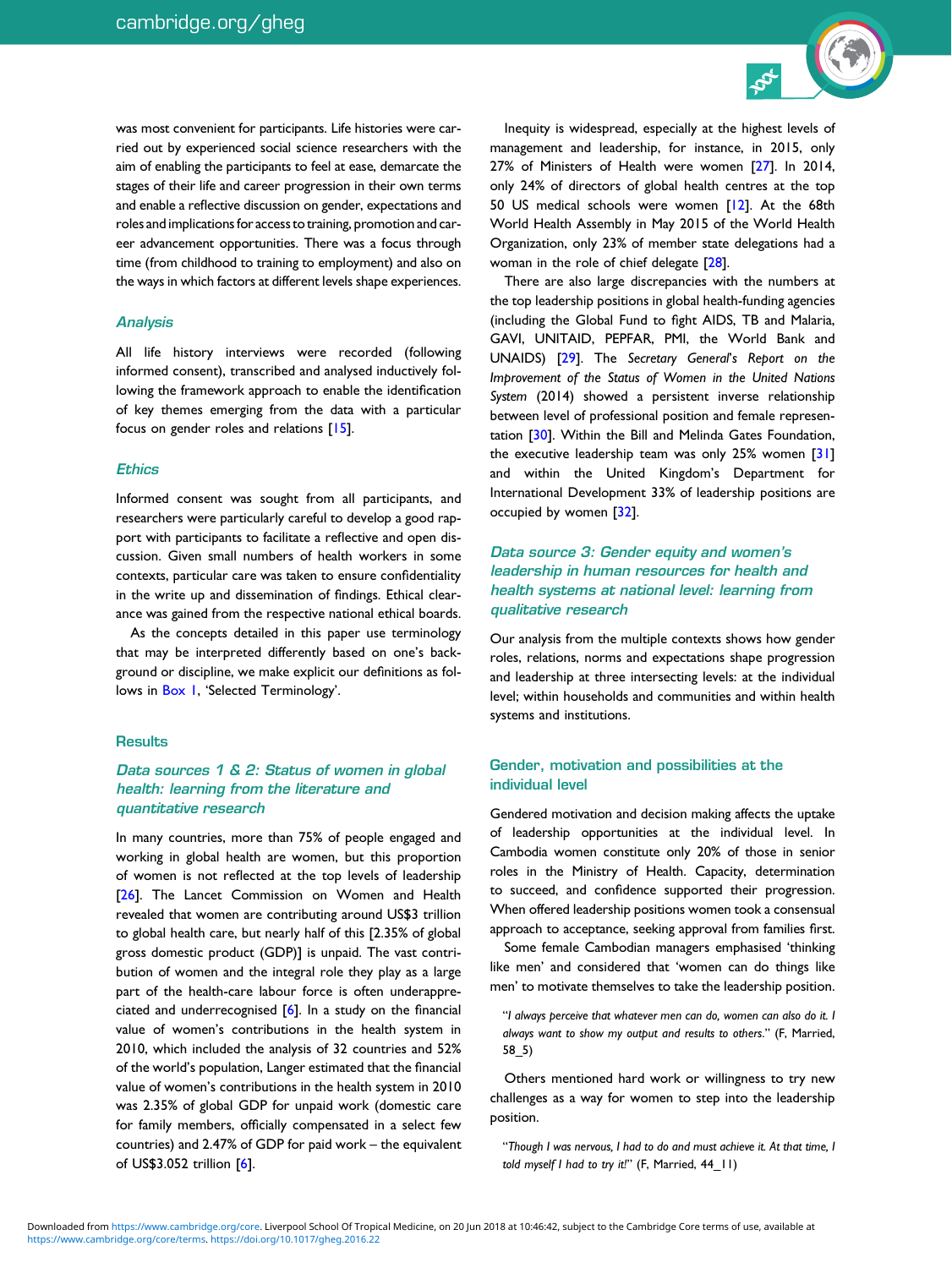

was most convenient for participants. Life histories were carried out by experienced social science researchers with the aim of enabling the participants to feel at ease, demarcate the stages of their life and career progression in their own terms and enable a reflective discussion on gender, expectations and roles and implications for access to training, promotion and career advancement opportunities. There was a focus through time (from childhood to training to employment) and also on the ways in which factors at different levels shape experiences.

# **Analysis**

All life history interviews were recorded (following informed consent), transcribed and analysed inductively following the framework approach to enable the identification of key themes emerging from the data with a particular focus on gender roles and relations  $[15]$  $[15]$ .

### **Ethics**

Informed consent was sought from all participants, and researchers were particularly careful to develop a good rapport with participants to facilitate a reflective and open discussion. Given small numbers of health workers in some contexts, particular care was taken to ensure confidentiality in the write up and dissemination of findings. Ethical clearance was gained from the respective national ethical boards.

As the concepts detailed in this paper use terminology that may be interpreted differently based on one's background or discipline, we make explicit our definitions as follows in Box 1, 'Selected Terminology'.

# **Results**

# Data sources 1 & 2: Status of women in global health: learning from the literature and quantitative research

In many countries, more than 75% of people engaged and working in global health are women, but this proportion of women is not reflected at the top levels of leadership [[26\]](#page-7-0). The Lancet Commission on Women and Health revealed that women are contributing around US\$3 trillion to global health care, but nearly half of this [2.35% of global gross domestic product (GDP)] is unpaid. The vast contribution of women and the integral role they play as a large part of the health-care labour force is often underappreciated and underrecognised  $[6]$  $[6]$  $[6]$ . In a study on the financial value of women's contributions in the health system in 2010, which included the analysis of 32 countries and 52% of the world's population, Langer estimated that the financial value of women's contributions in the health system in 2010 was 2.35% of global GDP for unpaid work (domestic care for family members, officially compensated in a select few countries) and 2.47% of GDP for paid work – the equivalent of US\$3.052 trillion [\[6\]](#page-7-0).

Inequity is widespread, especially at the highest levels of management and leadership, for instance, in 2015, only 27% of Ministers of Health were women [[27\]](#page-7-0). In 2014, only 24% of directors of global health centres at the top 50 US medical schools were women [\[12](#page-7-0)]. At the 68th World Health Assembly in May 2015 of the World Health Organization, only 23% of member state delegations had a woman in the role of chief delegate [\[28](#page-8-0)].

There are also large discrepancies with the numbers at the top leadership positions in global health-funding agencies (including the Global Fund to fight AIDS, TB and Malaria, GAVI, UNITAID, PEPFAR, PMI, the World Bank and UNAIDS) [\[29](#page-8-0)]. The Secretary General's Report on the Improvement of the Status of Women in the United Nations System (2014) showed a persistent inverse relationship between level of professional position and female representation [[30\]](#page-8-0). Within the Bill and Melinda Gates Foundation, the executive leadership team was only 25% women [[31\]](#page-8-0) and within the United Kingdom's Department for International Development 33% of leadership positions are occupied by women [\[32](#page-8-0)].

# Data source 3: Gender equity and women's leadership in human resources for health and health systems at national level: learning from qualitative research

Our analysis from the multiple contexts shows how gender roles, relations, norms and expectations shape progression and leadership at three intersecting levels: at the individual level; within households and communities and within health systems and institutions.

# Gender, motivation and possibilities at the individual level

Gendered motivation and decision making affects the uptake of leadership opportunities at the individual level. In Cambodia women constitute only 20% of those in senior roles in the Ministry of Health. Capacity, determination to succeed, and confidence supported their progression. When offered leadership positions women took a consensual approach to acceptance, seeking approval from families first.

Some female Cambodian managers emphasised 'thinking like men' and considered that 'women can do things like men' to motivate themselves to take the leadership position.

"I always perceive that whatever men can do, women can also do it. I always want to show my output and results to others." (F, Married, 58\_5)

Others mentioned hard work or willingness to try new challenges as a way for women to step into the leadership position.

"Though I was nervous, I had to do and must achieve it. At that time, I told myself I had to try it!" (F, Married, 44\_11)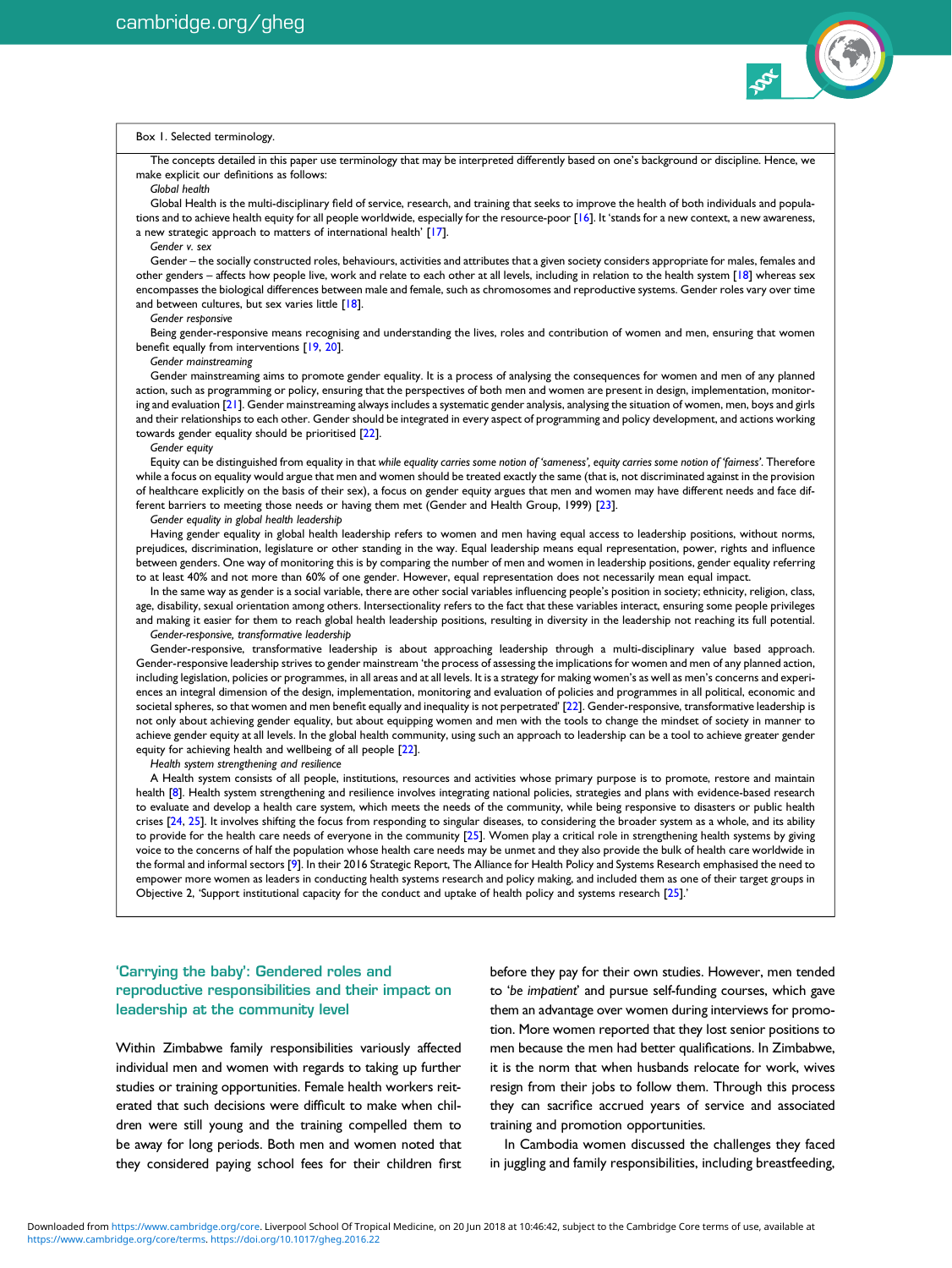

# Box 1. Selected terminology.

The concepts detailed in this paper use terminology that may be interpreted differently based on one's background or discipline. Hence, we make explicit our definitions as follows:

Global health

Global Health is the multi-disciplinary field of service, research, and training that seeks to improve the health of both individuals and popula-tions and to achieve health equity for all people worldwide, especially for the resource-poor [\[16](#page-7-0)]. It 'stands for a new context, a new awareness, a new strategic approach to matters of international health' [\[17\]](#page-7-0).

#### Gender v. sex

Gender – the socially constructed roles, behaviours, activities and attributes that a given society considers appropriate for males, females and other genders – affects how people live, work and relate to each other at all levels, including in relation to the health system [\[18\]](#page-7-0) whereas sex encompasses the biological differences between male and female, such as chromosomes and reproductive systems. Gender roles vary over time and between cultures, but sex varies little [\[18\]](#page-7-0).

Gender responsive

Being gender-responsive means recognising and understanding the lives, roles and contribution of women and men, ensuring that women benefit equally from interventions [\[19,](#page-7-0) [20](#page-7-0)].

Gender mainstreaming

Gender mainstreaming aims to promote gender equality. It is a process of analysing the consequences for women and men of any planned action, such as programming or policy, ensuring that the perspectives of both men and women are present in design, implementation, monitoring and evaluation [[21](#page-7-0)]. Gender mainstreaming always includes a systematic gender analysis, analysing the situation of women, men, boys and girls and their relationships to each other. Gender should be integrated in every aspect of programming and policy development, and actions working towards gender equality should be prioritised [\[22\]](#page-7-0).

#### Gender equity

Equity can be distinguished from equality in that while equality carries some notion of 'sameness', equity carries some notion of 'fairness'. Therefore while a focus on equality would argue that men and women should be treated exactly the same (that is, not discriminated against in the provision of healthcare explicitly on the basis of their sex), a focus on gender equity argues that men and women may have different needs and face different barriers to meeting those needs or having them met (Gender and Health Group, 1999) [\[23\]](#page-7-0).

Gender equality in global health leadership

Having gender equality in global health leadership refers to women and men having equal access to leadership positions, without norms, prejudices, discrimination, legislature or other standing in the way. Equal leadership means equal representation, power, rights and influence between genders. One way of monitoring this is by comparing the number of men and women in leadership positions, gender equality referring to at least 40% and not more than 60% of one gender. However, equal representation does not necessarily mean equal impact.

In the same way as gender is a social variable, there are other social variables influencing people's position in society; ethnicity, religion, class, age, disability, sexual orientation among others. Intersectionality refers to the fact that these variables interact, ensuring some people privileges and making it easier for them to reach global health leadership positions, resulting in diversity in the leadership not reaching its full potential. Gender-responsive, transformative leadership

Gender-responsive, transformative leadership is about approaching leadership through a multi-disciplinary value based approach. Gender-responsive leadership strives to gender mainstream 'the process of assessing the implications for women and men of any planned action, including legislation, policies or programmes, in all areas and at all levels. It is a strategy for making women's as well as men's concerns and experiences an integral dimension of the design, implementation, monitoring and evaluation of policies and programmes in all political, economic and societal spheres, so that women and men benefit equally and inequality is not perpetrated' [[22](#page-7-0)]. Gender-responsive, transformative leadership is not only about achieving gender equality, but about equipping women and men with the tools to change the mindset of society in manner to achieve gender equity at all levels. In the global health community, using such an approach to leadership can be a tool to achieve greater gender equity for achieving health and wellbeing of all people [\[22\]](#page-7-0).

Health system strengthening and resilience

A Health system consists of all people, institutions, resources and activities whose primary purpose is to promote, restore and maintain health [\[8\]](#page-7-0). Health system strengthening and resilience involves integrating national policies, strategies and plans with evidence-based research to evaluate and develop a health care system, which meets the needs of the community, while being responsive to disasters or public health crises [[24](#page-7-0), [25](#page-7-0)]. It involves shifting the focus from responding to singular diseases, to considering the broader system as a whole, and its ability to provide for the health care needs of everyone in the community [\[25\]](#page-7-0). Women play a critical role in strengthening health systems by giving voice to the concerns of half the population whose health care needs may be unmet and they also provide the bulk of health care worldwide in the formal and informal sectors [\[9](#page-7-0)]. In their 2016 Strategic Report, The Alliance for Health Policy and Systems Research emphasised the need to empower more women as leaders in conducting health systems research and policy making, and included them as one of their target groups in Objective 2, 'Support institutional capacity for the conduct and uptake of health policy and systems research [[25](#page-7-0)].'

# 'Carrying the baby': Gendered roles and reproductive responsibilities and their impact on leadership at the community level

Within Zimbabwe family responsibilities variously affected individual men and women with regards to taking up further studies or training opportunities. Female health workers reiterated that such decisions were difficult to make when children were still young and the training compelled them to be away for long periods. Both men and women noted that they considered paying school fees for their children first before they pay for their own studies. However, men tended to 'be impatient' and pursue self-funding courses, which gave them an advantage over women during interviews for promotion. More women reported that they lost senior positions to men because the men had better qualifications. In Zimbabwe, it is the norm that when husbands relocate for work, wives resign from their jobs to follow them. Through this process they can sacrifice accrued years of service and associated training and promotion opportunities.

In Cambodia women discussed the challenges they faced in juggling and family responsibilities, including breastfeeding,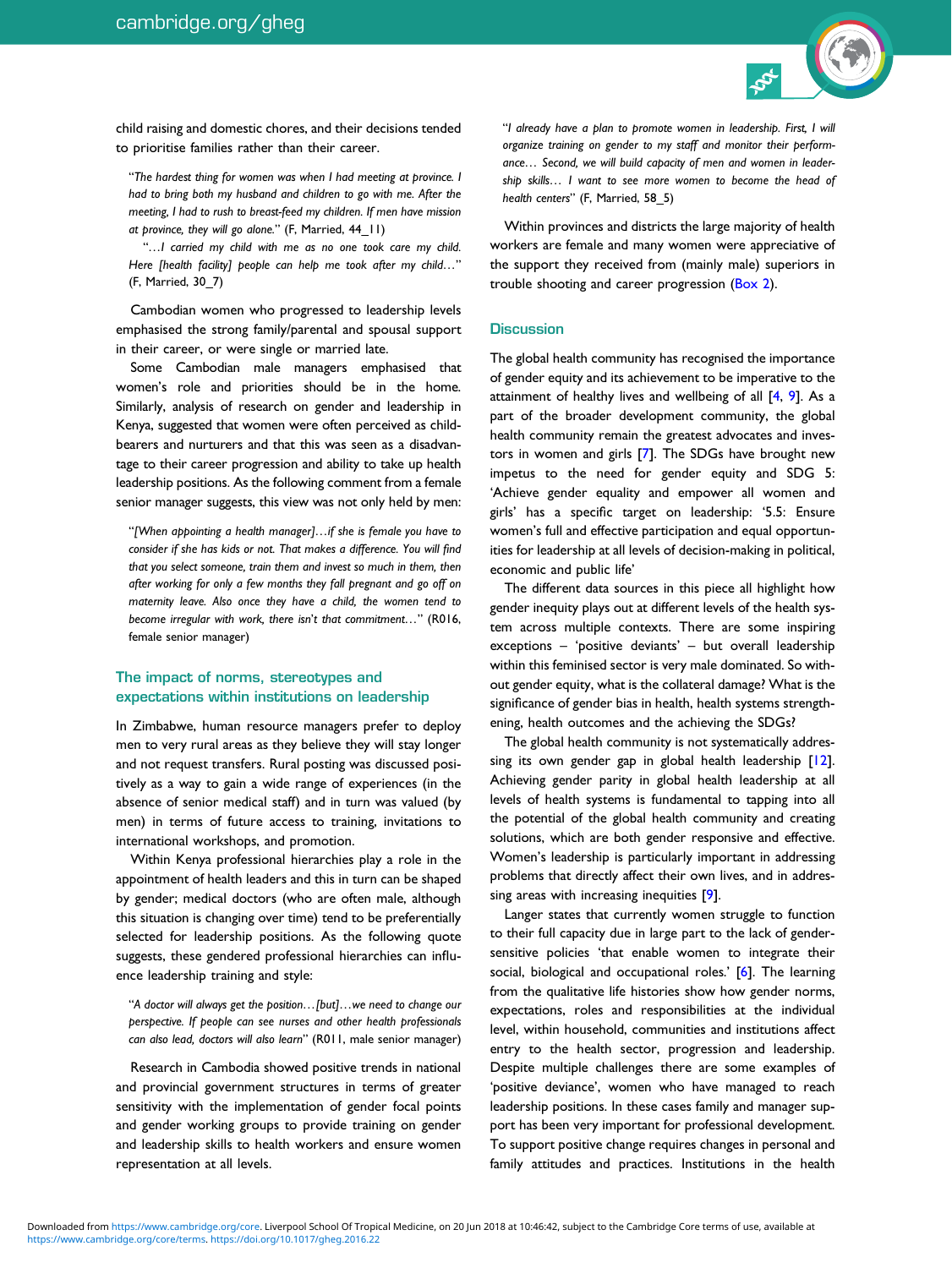

child raising and domestic chores, and their decisions tended to prioritise families rather than their career.

"The hardest thing for women was when I had meeting at province. I had to bring both my husband and children to go with me. After the meeting, I had to rush to breast-feed my children. If men have mission at province, they will go alone." (F, Married, 44\_11)

"…I carried my child with me as no one took care my child. Here [health facility] people can help me took after my child..." (F, Married, 30\_7)

Cambodian women who progressed to leadership levels emphasised the strong family/parental and spousal support in their career, or were single or married late.

Some Cambodian male managers emphasised that women's role and priorities should be in the home. Similarly, analysis of research on gender and leadership in Kenya, suggested that women were often perceived as childbearers and nurturers and that this was seen as a disadvantage to their career progression and ability to take up health leadership positions. As the following comment from a female senior manager suggests, this view was not only held by men:

"[When appointing a health manager]…if she is female you have to consider if she has kids or not. That makes a difference. You will find that you select someone, train them and invest so much in them, then after working for only a few months they fall pregnant and go off on maternity leave. Also once they have a child, the women tend to become irregular with work, there isn't that commitment…" (R016, female senior manager)

# The impact of norms, stereotypes and expectations within institutions on leadership

In Zimbabwe, human resource managers prefer to deploy men to very rural areas as they believe they will stay longer and not request transfers. Rural posting was discussed positively as a way to gain a wide range of experiences (in the absence of senior medical staff) and in turn was valued (by men) in terms of future access to training, invitations to international workshops, and promotion.

Within Kenya professional hierarchies play a role in the appointment of health leaders and this in turn can be shaped by gender; medical doctors (who are often male, although this situation is changing over time) tend to be preferentially selected for leadership positions. As the following quote suggests, these gendered professional hierarchies can influence leadership training and style:

"A doctor will always get the position…[but]…we need to change our perspective. If people can see nurses and other health professionals can also lead, doctors will also learn" (R011, male senior manager)

Research in Cambodia showed positive trends in national and provincial government structures in terms of greater sensitivity with the implementation of gender focal points and gender working groups to provide training on gender and leadership skills to health workers and ensure women representation at all levels.

"I already have a plan to promote women in leadership. First, I will organize training on gender to my staff and monitor their performance… Second, we will build capacity of men and women in leadership skills… I want to see more women to become the head of health centers" (F, Married, 58\_5)

Within provinces and districts the large majority of health workers are female and many women were appreciative of the support they received from (mainly male) superiors in trouble shooting and career progression (Box 2).

#### **Discussion**

The global health community has recognised the importance of gender equity and its achievement to be imperative to the attainment of healthy lives and wellbeing of all  $[4, 9]$  $[4, 9]$  $[4, 9]$  $[4, 9]$ . As a part of the broader development community, the global health community remain the greatest advocates and investors in women and girls [[7](#page-7-0)]. The SDGs have brought new impetus to the need for gender equity and SDG 5: 'Achieve gender equality and empower all women and girls' has a specific target on leadership: '5.5: Ensure women's full and effective participation and equal opportunities for leadership at all levels of decision-making in political, economic and public life'

The different data sources in this piece all highlight how gender inequity plays out at different levels of the health system across multiple contexts. There are some inspiring exceptions – 'positive deviants' – but overall leadership within this feminised sector is very male dominated. So without gender equity, what is the collateral damage? What is the significance of gender bias in health, health systems strengthening, health outcomes and the achieving the SDGs?

The global health community is not systematically addres-sing its own gender gap in global health leadership [[12\]](#page-7-0). Achieving gender parity in global health leadership at all levels of health systems is fundamental to tapping into all the potential of the global health community and creating solutions, which are both gender responsive and effective. Women's leadership is particularly important in addressing problems that directly affect their own lives, and in addres-sing areas with increasing inequities [[9\]](#page-7-0).

Langer states that currently women struggle to function to their full capacity due in large part to the lack of gendersensitive policies 'that enable women to integrate their social, biological and occupational roles.' [[6\]](#page-7-0). The learning from the qualitative life histories show how gender norms, expectations, roles and responsibilities at the individual level, within household, communities and institutions affect entry to the health sector, progression and leadership. Despite multiple challenges there are some examples of 'positive deviance', women who have managed to reach leadership positions. In these cases family and manager support has been very important for professional development. To support positive change requires changes in personal and family attitudes and practices. Institutions in the health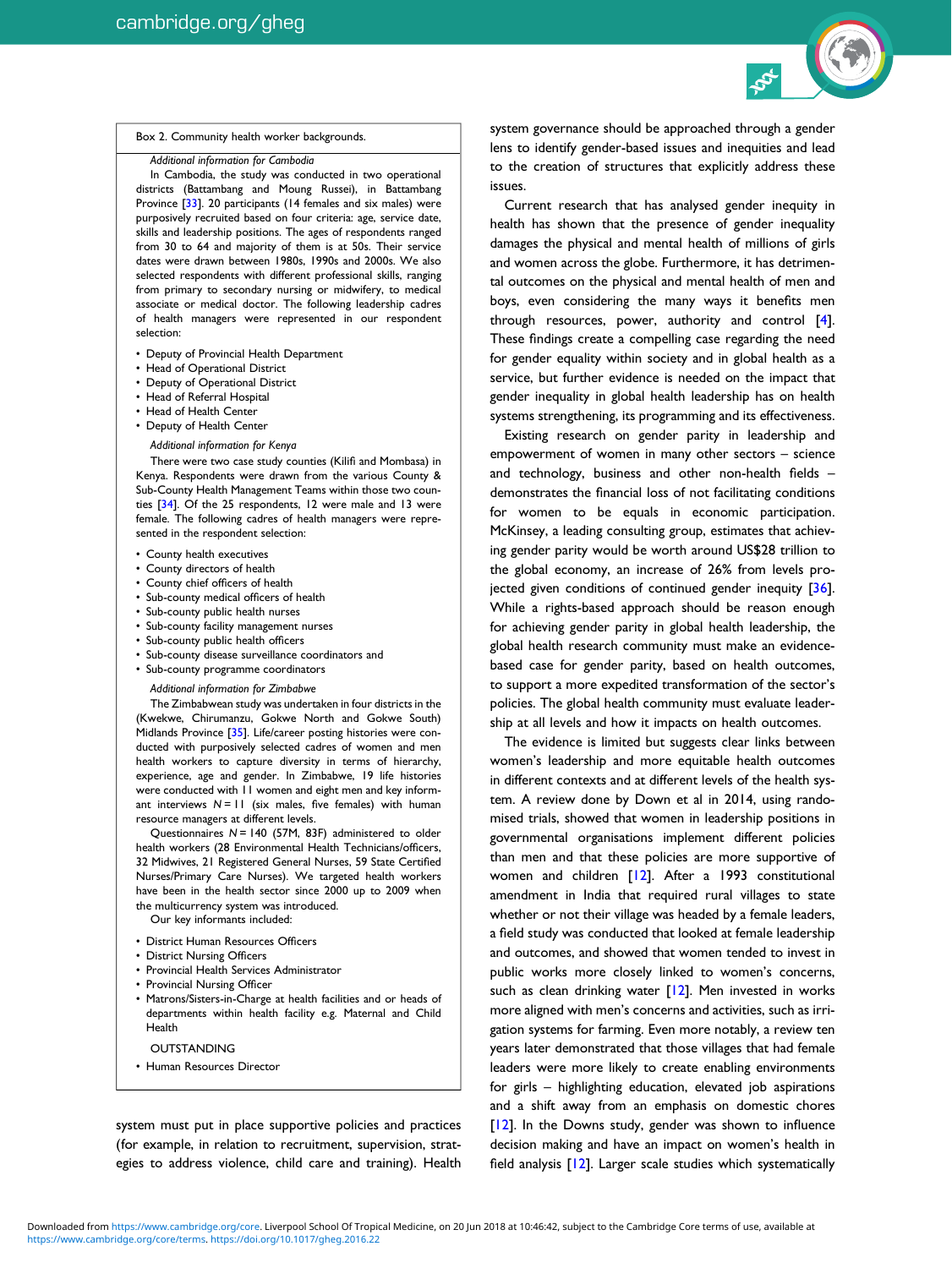

#### Box 2. Community health worker backgrounds.

#### Additional information for Cambodia

In Cambodia, the study was conducted in two operational districts (Battambang and Moung Russei), in Battambang Province [\[33\]](#page-8-0). 20 participants (14 females and six males) were purposively recruited based on four criteria: age, service date, skills and leadership positions. The ages of respondents ranged from 30 to 64 and majority of them is at 50s. Their service dates were drawn between 1980s, 1990s and 2000s. We also selected respondents with different professional skills, ranging from primary to secondary nursing or midwifery, to medical associate or medical doctor. The following leadership cadres of health managers were represented in our respondent selection:

- Deputy of Provincial Health Department
- Head of Operational District
- Deputy of Operational District
- Head of Referral Hospital
- Head of Health Center
- Deputy of Health Center

#### Additional information for Kenya

There were two case study counties (Kilifi and Mombasa) in Kenya. Respondents were drawn from the various County & Sub-County Health Management Teams within those two counties [[34](#page-8-0)]. Of the 25 respondents, 12 were male and 13 were female. The following cadres of health managers were represented in the respondent selection:

- County health executives
- County directors of health
- County chief officers of health
- Sub-county medical officers of health
- Sub-county public health nurses
- Sub-county facility management nurses
- Sub-county public health officers
- Sub-county disease surveillance coordinators and
- Sub-county programme coordinators

#### Additional information for Zimbabwe

The Zimbabwean study was undertaken in four districts in the (Kwekwe, Chirumanzu, Gokwe North and Gokwe South) Midlands Province [[35](#page-8-0)]. Life/career posting histories were conducted with purposively selected cadres of women and men health workers to capture diversity in terms of hierarchy, experience, age and gender. In Zimbabwe, 19 life histories were conducted with 11 women and eight men and key informant interviews  $N = 11$  (six males, five females) with human resource managers at different levels.

Questionnaires  $N = 140$  (57M, 83F) administered to older health workers (28 Environmental Health Technicians/officers, 32 Midwives, 21 Registered General Nurses, 59 State Certified Nurses/Primary Care Nurses). We targeted health workers have been in the health sector since 2000 up to 2009 when the multicurrency system was introduced.

Our key informants included:

- District Human Resources Officers
- District Nursing Officers
- Provincial Health Services Administrator
- Provincial Nursing Officer
- Matrons/Sisters-in-Charge at health facilities and or heads of departments within health facility e.g. Maternal and Child Health

OUTSTANDING

• Human Resources Director

system must put in place supportive policies and practices (for example, in relation to recruitment, supervision, strategies to address violence, child care and training). Health system governance should be approached through a gender lens to identify gender-based issues and inequities and lead to the creation of structures that explicitly address these issues.

Current research that has analysed gender inequity in health has shown that the presence of gender inequality damages the physical and mental health of millions of girls and women across the globe. Furthermore, it has detrimental outcomes on the physical and mental health of men and boys, even considering the many ways it benefits men through resources, power, authority and control [\[4\]](#page-7-0). These findings create a compelling case regarding the need for gender equality within society and in global health as a service, but further evidence is needed on the impact that gender inequality in global health leadership has on health systems strengthening, its programming and its effectiveness.

Existing research on gender parity in leadership and empowerment of women in many other sectors – science and technology, business and other non-health fields – demonstrates the financial loss of not facilitating conditions for women to be equals in economic participation. McKinsey, a leading consulting group, estimates that achieving gender parity would be worth around US\$28 trillion to the global economy, an increase of 26% from levels pro-jected given conditions of continued gender inequity [[36\]](#page-8-0). While a rights-based approach should be reason enough for achieving gender parity in global health leadership, the global health research community must make an evidencebased case for gender parity, based on health outcomes, to support a more expedited transformation of the sector's policies. The global health community must evaluate leadership at all levels and how it impacts on health outcomes.

The evidence is limited but suggests clear links between women's leadership and more equitable health outcomes in different contexts and at different levels of the health system. A review done by Down et al in 2014, using randomised trials, showed that women in leadership positions in governmental organisations implement different policies than men and that these policies are more supportive of women and children [[12\]](#page-7-0). After a 1993 constitutional amendment in India that required rural villages to state whether or not their village was headed by a female leaders, a field study was conducted that looked at female leadership and outcomes, and showed that women tended to invest in public works more closely linked to women's concerns, such as clean drinking water  $[12]$  $[12]$ . Men invested in works more aligned with men's concerns and activities, such as irrigation systems for farming. Even more notably, a review ten years later demonstrated that those villages that had female leaders were more likely to create enabling environments for girls – highlighting education, elevated job aspirations and a shift away from an emphasis on domestic chores [[12\]](#page-7-0). In the Downs study, gender was shown to influence decision making and have an impact on women's health in field analysis [[12\]](#page-7-0). Larger scale studies which systematically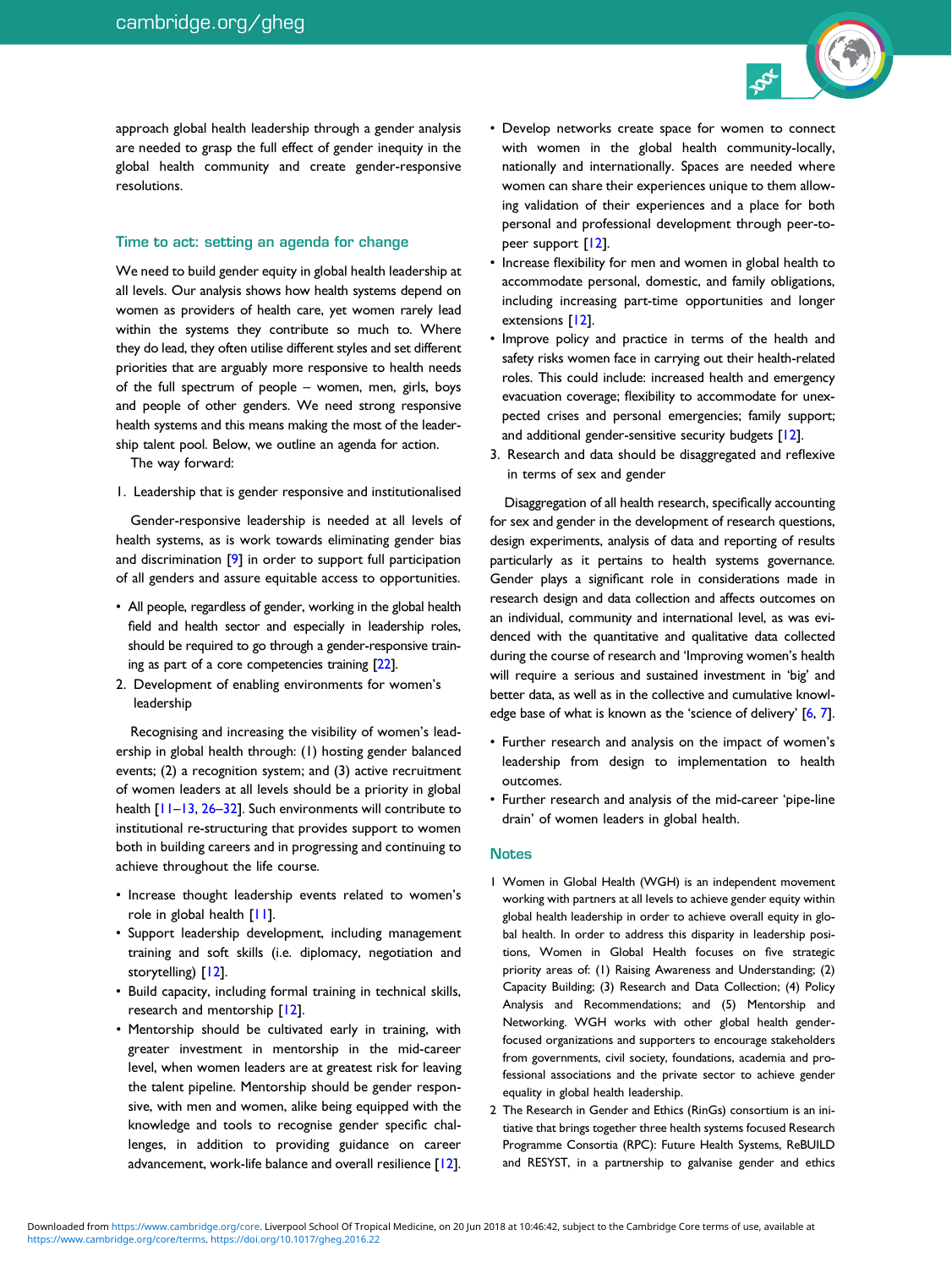approach global health leadership through a gender analysis are needed to grasp the full effect of gender inequity in the global health community and create gender-responsive resolutions.

# Time to act: setting an agenda for change

We need to build gender equity in global health leadership at all levels. Our analysis shows how health systems depend on women as providers of health care, yet women rarely lead within the systems they contribute so much to. Where they do lead, they often utilise different styles and set different priorities that are arguably more responsive to health needs of the full spectrum of people – women, men, girls, boys and people of other genders. We need strong responsive health systems and this means making the most of the leadership talent pool. Below, we outline an agenda for action.

The way forward:

1. Leadership that is gender responsive and institutionalised

Gender-responsive leadership is needed at all levels of health systems, as is work towards eliminating gender bias and discrimination [[9](#page-7-0)] in order to support full participation of all genders and assure equitable access to opportunities.

- All people, regardless of gender, working in the global health field and health sector and especially in leadership roles, should be required to go through a gender-responsive training as part of a core competencies training [\[22\]](#page-7-0).
- 2. Development of enabling environments for women's leadership

Recognising and increasing the visibility of women's leadership in global health through: (1) hosting gender balanced events; (2) a recognition system; and (3) active recruitment of women leaders at all levels should be a priority in global health [[11](#page-7-0)–[13](#page-7-0), [26](#page-7-0)–[32\]](#page-8-0). Such environments will contribute to institutional re-structuring that provides support to women both in building careers and in progressing and continuing to achieve throughout the life course.

- Increase thought leadership events related to women's role in global health [[11\]](#page-7-0).
- Support leadership development, including management training and soft skills (i.e. diplomacy, negotiation and storytelling) [[12\]](#page-7-0).
- Build capacity, including formal training in technical skills, research and mentorship [\[12](#page-7-0)].
- Mentorship should be cultivated early in training, with greater investment in mentorship in the mid-career level, when women leaders are at greatest risk for leaving the talent pipeline. Mentorship should be gender responsive, with men and women, alike being equipped with the knowledge and tools to recognise gender specific challenges, in addition to providing guidance on career advancement, work-life balance and overall resilience [[12\]](#page-7-0).
- Develop networks create space for women to connect with women in the global health community-locally, nationally and internationally. Spaces are needed where women can share their experiences unique to them allowing validation of their experiences and a place for both personal and professional development through peer-to-peer support [\[12](#page-7-0)].
- Increase flexibility for men and women in global health to accommodate personal, domestic, and family obligations, including increasing part-time opportunities and longer extensions [\[12](#page-7-0)].
- Improve policy and practice in terms of the health and safety risks women face in carrying out their health-related roles. This could include: increased health and emergency evacuation coverage; flexibility to accommodate for unexpected crises and personal emergencies; family support; and additional gender-sensitive security budgets [[12](#page-7-0)].
- 3. Research and data should be disaggregated and reflexive in terms of sex and gender

Disaggregation of all health research, specifically accounting for sex and gender in the development of research questions, design experiments, analysis of data and reporting of results particularly as it pertains to health systems governance. Gender plays a significant role in considerations made in research design and data collection and affects outcomes on an individual, community and international level, as was evidenced with the quantitative and qualitative data collected during the course of research and 'Improving women's health will require a serious and sustained investment in 'big' and better data, as well as in the collective and cumulative knowledge base of what is known as the 'science of delivery' [[6,](#page-7-0) [7\]](#page-7-0).

- Further research and analysis on the impact of women's leadership from design to implementation to health outcomes.
- Further research and analysis of the mid-career 'pipe-line drain' of women leaders in global health.

# **Notes**

- 1 Women in Global Health (WGH) is an independent movement working with partners at all levels to achieve gender equity within global health leadership in order to achieve overall equity in global health. In order to address this disparity in leadership positions, Women in Global Health focuses on five strategic priority areas of: (1) Raising Awareness and Understanding; (2) Capacity Building; (3) Research and Data Collection; (4) Policy Analysis and Recommendations; and (5) Mentorship and Networking. WGH works with other global health genderfocused organizations and supporters to encourage stakeholders from governments, civil society, foundations, academia and professional associations and the private sector to achieve gender equality in global health leadership.
- 2 The Research in Gender and Ethics (RinGs) consortium is an initiative that brings together three health systems focused Research Programme Consortia (RPC): Future Health Systems, ReBUILD and RESYST, in a partnership to galvanise gender and ethics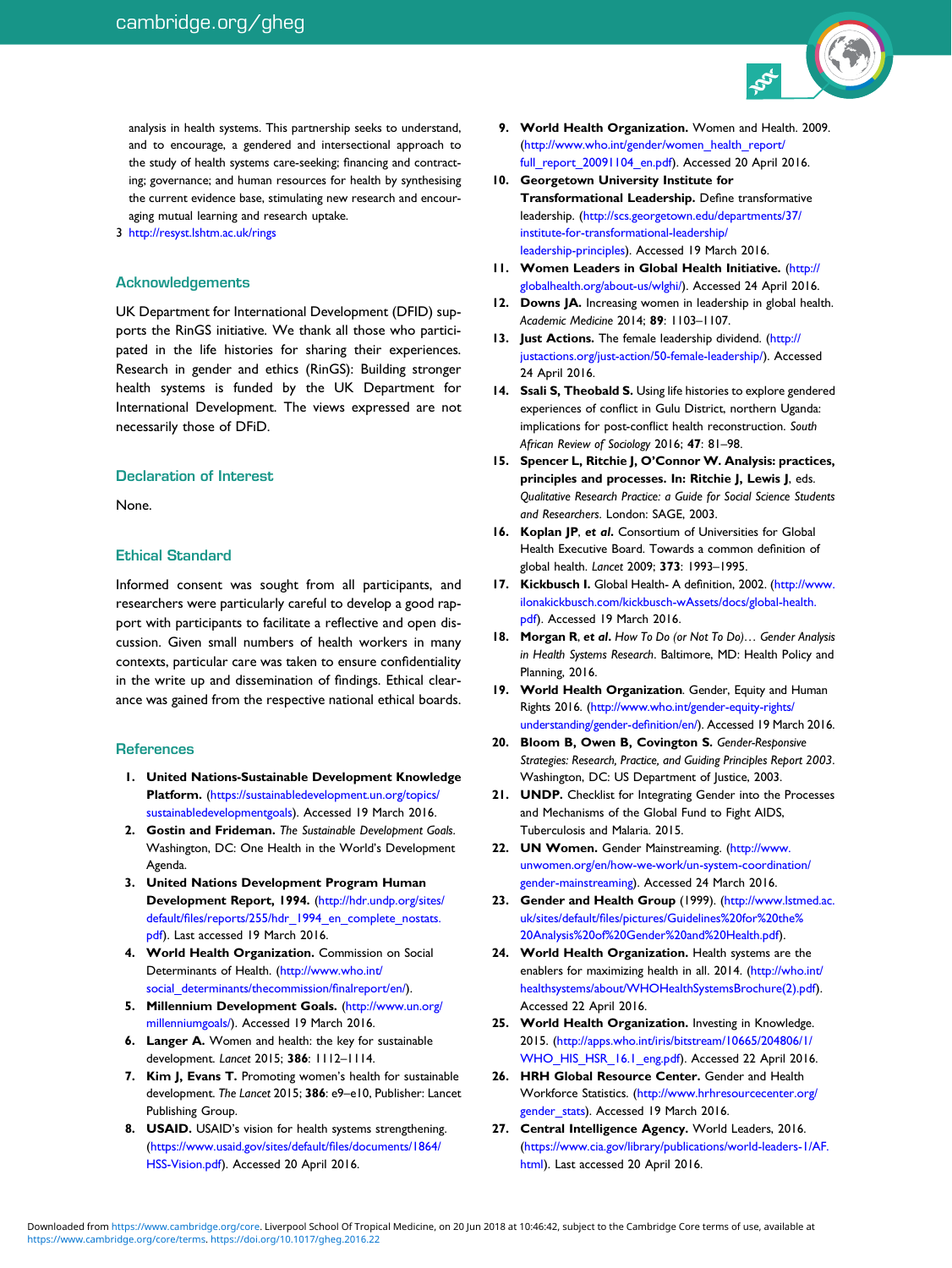<span id="page-7-0"></span>

3 <http://resyst.lshtm.ac.uk/rings>

#### Acknowledgements

UK Department for International Development (DFID) supports the RinGS initiative. We thank all those who participated in the life histories for sharing their experiences. Research in gender and ethics (RinGS): Building stronger health systems is funded by the UK Department for International Development. The views expressed are not necessarily those of DFiD.

# Declaration of Interest

None.

# Ethical Standard

Informed consent was sought from all participants, and researchers were particularly careful to develop a good rapport with participants to facilitate a reflective and open discussion. Given small numbers of health workers in many contexts, particular care was taken to ensure confidentiality in the write up and dissemination of findings. Ethical clearance was gained from the respective national ethical boards.

# **References**

- 1. United Nations-Sustainable Development Knowledge Platform. ([https://sustainabledevelopment.un.org/topics/](https://sustainabledevelopment.un.org/topics/sustainabledevelopmentgoals) [sustainabledevelopmentgoals](https://sustainabledevelopment.un.org/topics/sustainabledevelopmentgoals)). Accessed 19 March 2016.
- 2. Gostin and Frideman. The Sustainable Development Goals. Washington, DC: One Health in the World's Development Agenda.
- 3. United Nations Development Program Human Development Report, 1994. [\(http://hdr.undp.org/sites/](http://hdr.undp.org/sites/default/files/reports/255/hdr_1994_en_complete_nostats.pdf) default/fi[les/reports/255/hdr\\_1994\\_en\\_complete\\_nostats.](http://hdr.undp.org/sites/default/files/reports/255/hdr_1994_en_complete_nostats.pdf) [pdf\)](http://hdr.undp.org/sites/default/files/reports/255/hdr_1994_en_complete_nostats.pdf). Last accessed 19 March 2016.
- 4. World Health Organization. Commission on Social Determinants of Health. [\(http://www.who.int/](http://www.who.int/social_determinants/thecommission/finalreport/en/) social determinants/thecommission/finalreport/en/).
- 5. Millennium Development Goals. [\(http://www.un.org/](http://www.un.org/millenniumgoals/) [millenniumgoals/](http://www.un.org/millenniumgoals/)). Accessed 19 March 2016.
- 6. Langer A. Women and health: the key for sustainable development. Lancet 2015; 386: 1112–1114.
- 7. Kim J, Evans T. Promoting women's health for sustainable development. The Lancet 2015; 386: e9–e10, Publisher: Lancet Publishing Group.
- 8. **USAID.** USAID's vision for health systems strengthening. [\(https://www.usaid.gov/sites/default/](https://www.usaid.gov/sites/default/files/documents/1864/HSS-Vision.pdf)files/documents/1864/ [HSS-Vision.pdf](https://www.usaid.gov/sites/default/files/documents/1864/HSS-Vision.pdf)). Accessed 20 April 2016.
- 9. World Health Organization. Women and Health. 2009. [\(http://www.who.int/gender/women\\_health\\_report/](http://www.who.int/gender/women_health_report/full_report_20091104_en.pdf) [full\\_report\\_20091104\\_en.pdf](http://www.who.int/gender/women_health_report/full_report_20091104_en.pdf)). Accessed 20 April 2016.
- 10. Georgetown University Institute for Transformational Leadership. Define transformative leadership. [\(http://scs.georgetown.edu/departments/37/](http://scs.georgetown.edu/departments/37/institute-for-transformational-leadership/leadership-principles) [institute-for-transformational-leadership/](http://scs.georgetown.edu/departments/37/institute-for-transformational-leadership/leadership-principles) [leadership-principles](http://scs.georgetown.edu/departments/37/institute-for-transformational-leadership/leadership-principles)). Accessed 19 March 2016.
- 11. Women Leaders in Global Health Initiative. [\(http://](http://globalhealth.org/about-us/wlghi/) [globalhealth.org/about-us/wlghi/\)](http://globalhealth.org/about-us/wlghi/). Accessed 24 April 2016.
- 12. Downs JA. Increasing women in leadership in global health. Academic Medicine 2014; 89: 1103–1107.
- 13. Just Actions. The female leadership dividend. ([http://](http://justactions.org/just-action/50-female-leadership/) [justactions.org/just-action/50-female-leadership/\)](http://justactions.org/just-action/50-female-leadership/). Accessed 24 April 2016.
- 14. Ssali S, Theobald S. Using life histories to explore gendered experiences of conflict in Gulu District, northern Uganda: implications for post-conflict health reconstruction. South African Review of Sociology 2016; 47: 81–98.
- 15. Spencer L, Ritchie J, O'Connor W. Analysis: practices, principles and processes. In: Ritchie J, Lewis J, eds. Qualitative Research Practice: a Guide for Social Science Students and Researchers. London: SAGE, 2003.
- 16. Koplan JP, et al. Consortium of Universities for Global Health Executive Board. Towards a common definition of global health. Lancet 2009; 373: 1993–1995.
- 17. Kickbusch I. Global Health- A definition, 2002. ([http://www.](http://www.ilonakickbusch.com/kickbusch-wAssets/docs/global-health.pdf) [ilonakickbusch.com/kickbusch-wAssets/docs/global-health.](http://www.ilonakickbusch.com/kickbusch-wAssets/docs/global-health.pdf) [pdf\)](http://www.ilonakickbusch.com/kickbusch-wAssets/docs/global-health.pdf). Accessed 19 March 2016.
- 18. Morgan R, et al. How To Do (or Not To Do)... Gender Analysis in Health Systems Research. Baltimore, MD: Health Policy and Planning, 2016.
- 19. World Health Organization. Gender, Equity and Human Rights 2016. ([http://www.who.int/gender-equity-rights/](http://www.who.int/gender-equity-rights/understanding/gender-definition/en/) [understanding/gender-de](http://www.who.int/gender-equity-rights/understanding/gender-definition/en/)finition/en/). Accessed 19 March 2016.
- 20. Bloom B, Owen B, Covington S. Gender-Responsive Strategies: Research, Practice, and Guiding Principles Report 2003. Washington, DC: US Department of Justice, 2003.
- 21. UNDP. Checklist for Integrating Gender into the Processes and Mechanisms of the Global Fund to Fight AIDS, Tuberculosis and Malaria. 2015.
- 22. UN Women. Gender Mainstreaming. [\(http://www.](http://www.unwomen.org/en/how-we-work/un-system-coordination/gender-mainstreaming) [unwomen.org/en/how-we-work/un-system-coordination/](http://www.unwomen.org/en/how-we-work/un-system-coordination/gender-mainstreaming) [gender-mainstreaming](http://www.unwomen.org/en/how-we-work/un-system-coordination/gender-mainstreaming)). Accessed 24 March 2016.
- 23. Gender and Health Group (1999). [\(http://www.lstmed.ac.](http://www.lstmed.ac.uk/sites/default/files/pictures/Guidelines%20for%20the%20Analysis%20of%20Gender%20and%20Health.pdf) uk/sites/default/fi[les/pictures/Guidelines%20for%20the%](http://www.lstmed.ac.uk/sites/default/files/pictures/Guidelines%20for%20the%20Analysis%20of%20Gender%20and%20Health.pdf) [20Analysis%20of%20Gender%20and%20Health.pdf](http://www.lstmed.ac.uk/sites/default/files/pictures/Guidelines%20for%20the%20Analysis%20of%20Gender%20and%20Health.pdf)).
- 24. World Health Organization. Health systems are the enablers for maximizing health in all. 2014. ([http://who.int/](http://who.int/healthsystems/about/WHOHealthSystemsBrochure(2).pdf) [healthsystems/about/WHOHealthSystemsBrochure\(2\).pdf](http://who.int/healthsystems/about/WHOHealthSystemsBrochure(2).pdf)). Accessed 22 April 2016.
- 25. World Health Organization. Investing in Knowledge. 2015. ([http://apps.who.int/iris/bitstream/10665/204806/1/](http://apps.who.int/iris/bitstream/10665/204806/1/WHO_HIS_HSR_16.1_eng.pdf) [WHO\\_HIS\\_HSR\\_16.1\\_eng.pdf](http://apps.who.int/iris/bitstream/10665/204806/1/WHO_HIS_HSR_16.1_eng.pdf)). Accessed 22 April 2016.
- 26. HRH Global Resource Center. Gender and Health Workforce Statistics. ([http://www.hrhresourcecenter.org/](http://www.hrhresourcecenter.org/gender_stats) gender stats). Accessed 19 March 2016.
- 27. Central Intelligence Agency. World Leaders, 2016. [\(https://www.cia.gov/library/publications/world-leaders-1/AF.](https://www.cia.gov/library/publications/world-leaders-1/AF.html) [html](https://www.cia.gov/library/publications/world-leaders-1/AF.html)). Last accessed 20 April 2016.